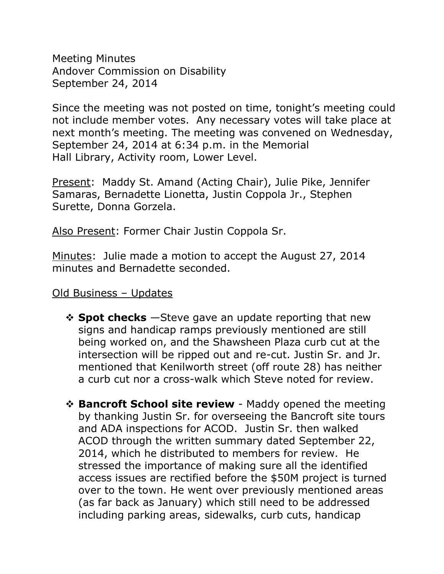Meeting Minutes Andover Commission on Disability September 24, 2014

Since the meeting was not posted on time, tonight's meeting could not include member votes. Any necessary votes will take place at next month's meeting. The meeting was convened on Wednesday, September 24, 2014 at 6:34 p.m. in the Memorial Hall Library, Activity room, Lower Level.

Present: Maddy St. Amand (Acting Chair), Julie Pike, Jennifer Samaras, Bernadette Lionetta, Justin Coppola Jr., Stephen Surette, Donna Gorzela.

Also Present: Former Chair Justin Coppola Sr.

Minutes: Julie made a motion to accept the August 27, 2014 minutes and Bernadette seconded.

## Old Business – Updates

- $\div$  **Spot checks** −Steve gave an update reporting that new signs and handicap ramps previously mentioned are still being worked on, and the Shawsheen Plaza curb cut at the intersection will be ripped out and re-cut. Justin Sr. and Jr. mentioned that Kenilworth street (off route 28) has neither a curb cut nor a cross-walk which Steve noted for review.
- **Example 3 Bancroft School site review** Maddy opened the meeting by thanking Justin Sr. for overseeing the Bancroft site tours and ADA inspections for ACOD. Justin Sr. then walked ACOD through the written summary dated September 22, 2014, which he distributed to members for review. He stressed the importance of making sure all the identified access issues are rectified before the \$50M project is turned over to the town. He went over previously mentioned areas (as far back as January) which still need to be addressed including parking areas, sidewalks, curb cuts, handicap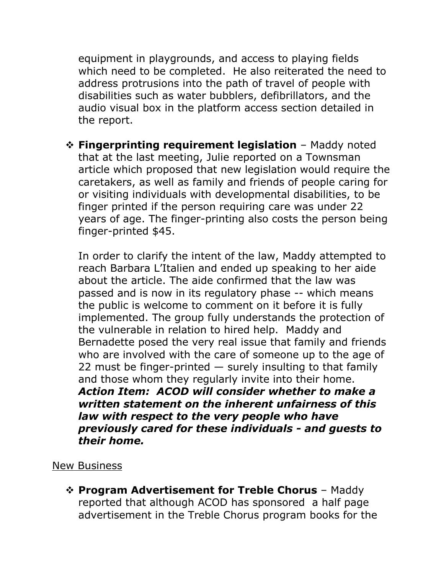equipment in playgrounds, and access to playing fields which need to be completed. He also reiterated the need to address protrusions into the path of travel of people with disabilities such as water bubblers, defibrillators, and the audio visual box in the platform access section detailed in the report.

 **Fingerprinting requirement legislation** – Maddy noted that at the last meeting, Julie reported on a Townsman article which proposed that new legislation would require the caretakers, as well as family and friends of people caring for or visiting individuals with developmental disabilities, to be finger printed if the person requiring care was under 22 years of age. The finger-printing also costs the person being finger-printed \$45.

In order to clarify the intent of the law, Maddy attempted to reach Barbara L'Italien and ended up speaking to her aide about the article. The aide confirmed that the law was passed and is now in its regulatory phase -- which means the public is welcome to comment on it before it is fully implemented. The group fully understands the protection of the vulnerable in relation to hired help. Maddy and Bernadette posed the very real issue that family and friends who are involved with the care of someone up to the age of 22 must be finger-printed  $-$  surely insulting to that family and those whom they regularly invite into their home. *Action Item: ACOD will consider whether to make a written statement on the inherent unfairness of this law with respect to the very people who have previously cared for these individuals - and guests to their home.*

## New Business

 **Program Advertisement for Treble Chorus** – Maddy reported that although ACOD has sponsored a half page advertisement in the Treble Chorus program books for the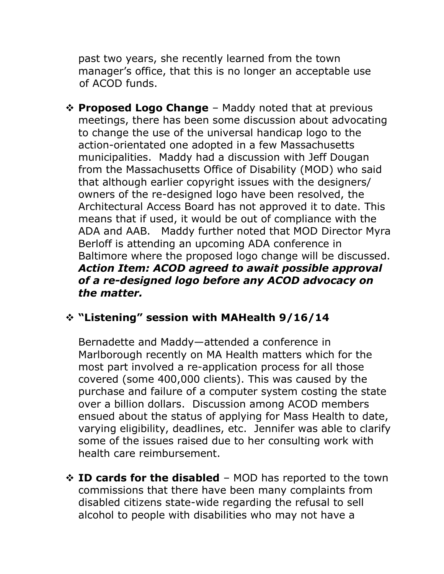past two years, she recently learned from the town manager's office, that this is no longer an acceptable use of ACOD funds.

 **Proposed Logo Change** – Maddy noted that at previous meetings, there has been some discussion about advocating to change the use of the universal handicap logo to the action-orientated one adopted in a few Massachusetts municipalities. Maddy had a discussion with Jeff Dougan from the Massachusetts Office of Disability (MOD) who said that although earlier copyright issues with the designers/ owners of the re-designed logo have been resolved, the Architectural Access Board has not approved it to date. This means that if used, it would be out of compliance with the ADA and AAB. Maddy further noted that MOD Director Myra Berloff is attending an upcoming ADA conference in Baltimore where the proposed logo change will be discussed. *Action Item: ACOD agreed to await possible approval of a re-designed logo before any ACOD advocacy on the matter.*

## **"Listening" session with MAHealth 9/16/14**

Bernadette and Maddy—attended a conference in Marlborough recently on MA Health matters which for the most part involved a re-application process for all those covered (some 400,000 clients). This was caused by the purchase and failure of a computer system costing the state over a billion dollars. Discussion among ACOD members ensued about the status of applying for Mass Health to date, varying eligibility, deadlines, etc. Jennifer was able to clarify some of the issues raised due to her consulting work with health care reimbursement.

**External TD cards for the disabled** – MOD has reported to the town commissions that there have been many complaints from disabled citizens state-wide regarding the refusal to sell alcohol to people with disabilities who may not have a